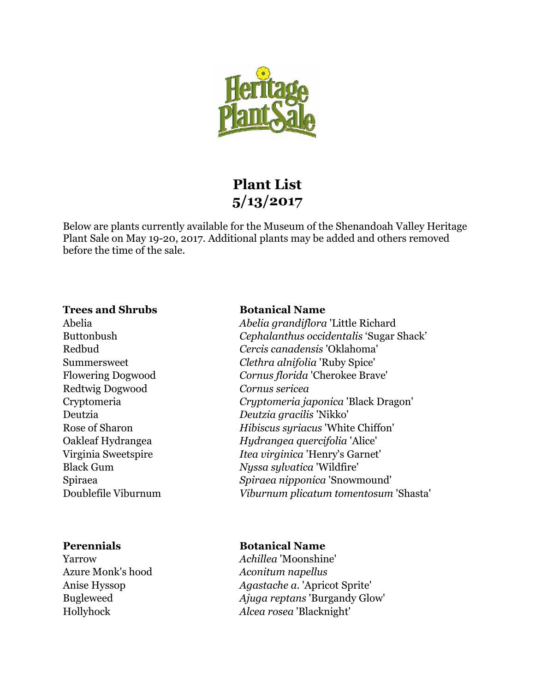

# **Plant List 5/13/2017**

Below are plants currently available for the Museum of the Shenandoah Valley Heritage Plant Sale on May 19-20, 2017. Additional plants may be added and others removed before the time of the sale.

### **Trees and Shrubs Botanical Name**

Redtwig Dogwood *Cornus sericea* 

Azure Monk's hood *Aconitum napellus* 

Abelia *Abelia grandiflora* 'Little Richard Buttonbush *Cephalanthus occidentalis* 'Sugar Shack' Redbud *Cercis canadensis* 'Oklahoma' Summersweet *Clethra alnifolia* 'Ruby Spice' Flowering Dogwood *Cornus florida* 'Cherokee Brave' Cryptomeria *Cryptomeria japonica* 'Black Dragon' Deutzia *Deutzia gracilis* 'Nikko' Rose of Sharon *Hibiscus syriacus* 'White Chiffon' Oakleaf Hydrangea *Hydrangea quercifolia* 'Alice' Virginia Sweetspire *Itea virginica* 'Henry's Garnet' Black Gum *Nyssa sylvatica* 'Wildfire' Spiraea *Spiraea nipponica* 'Snowmound' Doublefile Viburnum *Viburnum plicatum tomentosum* 'Shasta'

# **Perennials** Botanical Name

Yarrow *Achillea* 'Moonshine' Anise Hyssop *Agastache a*. 'Apricot Sprite' Bugleweed *Ajuga reptans* 'Burgandy Glow' Hollyhock *Alcea rosea* 'Blacknight'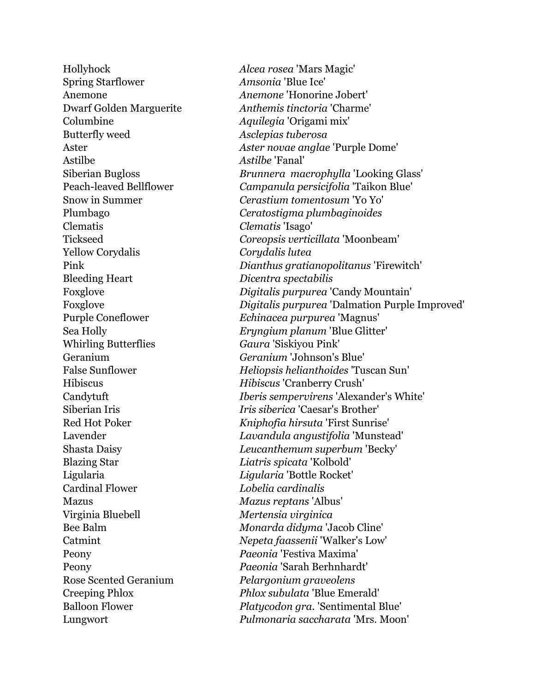Hollyhock *Alcea rosea* 'Mars Magic' Spring Starflower *Amsonia* 'Blue Ice' Columbine *Aquilegia* 'Origami mix' Butterfly weed *Asclepias tuberosa*  Astilbe *Astilbe* 'Fanal' Clematis *Clematis* 'Isago' Yellow Corydalis *Corydalis lutea*  Bleeding Heart *Dicentra spectabilis*  Whirling Butterflies *Gaura* 'Siskiyou Pink' Blazing Star *Liatris spicata* 'Kolbold' Ligularia *Ligularia* 'Bottle Rocket' Cardinal Flower *Lobelia cardinalis*  Mazus *Mazus reptans* 'Albus' Virginia Bluebell *Mertensia virginica*  Peony *Paeonia* 'Festiva Maxima' Rose Scented Geranium *Pelargonium graveolens* 

Anemone *Anemone* 'Honorine Jobert' Dwarf Golden Marguerite *Anthemis tinctoria* 'Charme' Aster *Aster novae anglae* 'Purple Dome' Siberian Bugloss *Brunnera macrophylla* 'Looking Glass' Peach-leaved Bellflower *Campanula persicifolia* 'Taikon Blue' Snow in Summer *Cerastium tomentosum* 'Yo Yo' Plumbago *Ceratostigma plumbaginoides*  Tickseed *Coreopsis verticillata* 'Moonbeam' Pink *Dianthus gratianopolitanus* 'Firewitch' Foxglove *Digitalis purpurea* 'Candy Mountain' Foxglove *Digitalis purpurea* 'Dalmation Purple Improved' Purple Coneflower *Echinacea purpurea* 'Magnus' Sea Holly *Eryngium planum* 'Blue Glitter' Geranium *Geranium* 'Johnson's Blue' False Sunflower *Heliopsis helianthoides* 'Tuscan Sun' Hibiscus *Hibiscus* 'Cranberry Crush' Candytuft *Iberis sempervirens* 'Alexander's White' Siberian Iris *Iris siberica* 'Caesar's Brother' Red Hot Poker *Kniphofia hirsuta* 'First Sunrise' Lavender *Lavandula angustifolia* 'Munstead' Shasta Daisy *Leucanthemum superbum* 'Becky' Bee Balm *Monarda didyma* 'Jacob Cline' Catmint *Nepeta faassenii* 'Walker's Low' Peony *Paeonia* 'Sarah Berhnhardt' Creeping Phlox *Phlox subulata* 'Blue Emerald' Balloon Flower *Platycodon gra.* 'Sentimental Blue' Lungwort *Pulmonaria saccharata* 'Mrs. Moon'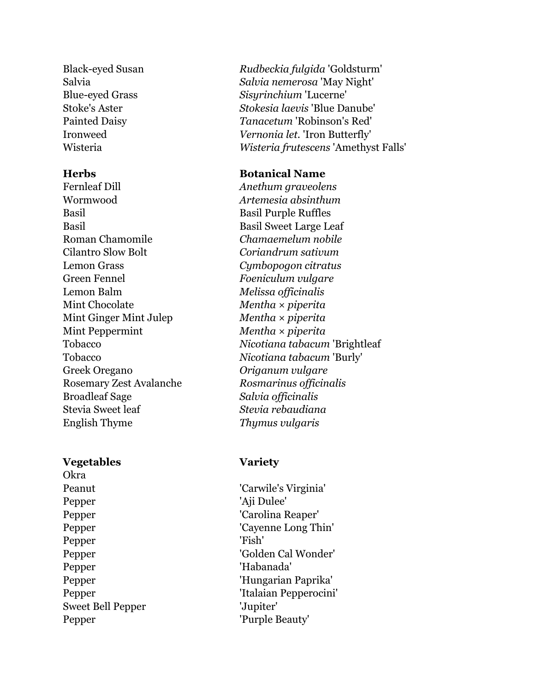Fernleaf Dill *Anethum graveolens*  Wormwood *Artemesia absinthum*  Basil Basil Purple Ruffles Basil Basil Sweet Large Leaf Roman Chamomile *Chamaemelum nobile*  Cilantro Slow Bolt *Coriandrum sativum*  Lemon Grass *Cymbopogon citratus*  Green Fennel *Foeniculum vulgare*  Lemon Balm *Melissa officinalis*  Mint Chocolate *Mentha × piperita*  Mint Ginger Mint Julep *Mentha × piperita*  Mint Peppermint *Mentha × piperita*  Greek Oregano *Origanum vulgare*  Rosemary Zest Avalanche *Rosmarinus officinalis*  Broadleaf Sage *Salvia officinalis*  Stevia Sweet leaf *Stevia rebaudiana*  English Thyme *Thymus vulgaris* 

### **Vegetables Variety**

Okra Pepper 'Aji Dulee' Pepper 'Fish' Pepper 'Habanada' Sweet Bell Pepper 'Jupiter' Pepper 'Purple Beauty'

Black-eyed Susan *Rudbeckia fulgida* 'Goldsturm' Salvia *Salvia nemerosa* 'May Night' Blue-eyed Grass *Sisyrinchium* 'Lucerne' Stoke's Aster *Stokesia laevis* 'Blue Danube' Painted Daisy *Tanacetum* 'Robinson's Red' Ironweed *Vernonia let.* 'Iron Butterfly' Wisteria *Wisteria frutescens* 'Amethyst Falls'

# **Herbs Botanical Name**

Tobacco *Nicotiana tabacum* 'Brightleaf Tobacco *Nicotiana tabacum* 'Burly'

Peanut 'Carwile's Virginia' Pepper 'Carolina Reaper' Pepper 'Cayenne Long Thin' Pepper 'Golden Cal Wonder' Pepper 'Hungarian Paprika' Pepper 'Italaian Pepperocini'